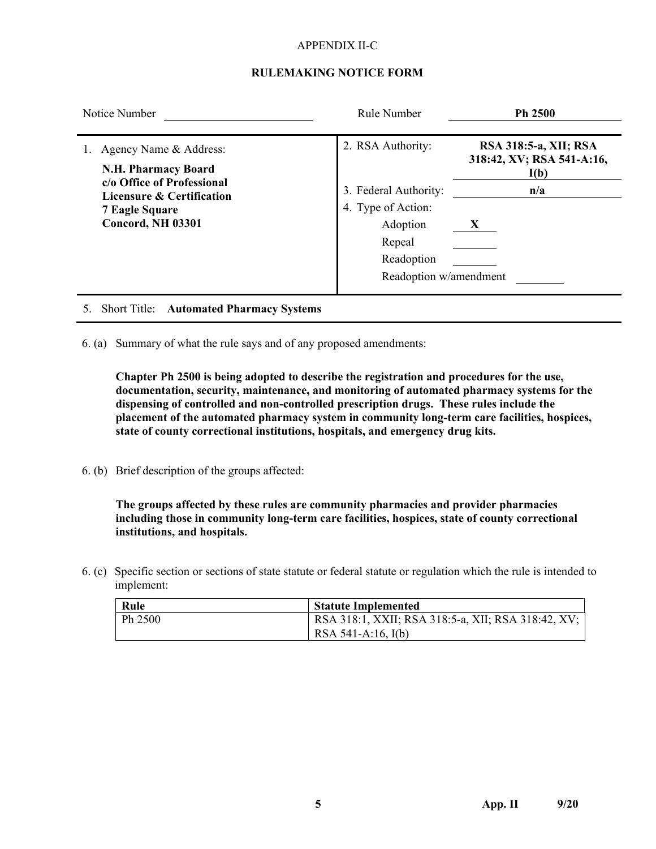#### APPENDIX II-C

### **RULEMAKING NOTICE FORM**

| Notice Number                                                                                                                                                            | Rule Number                                                                                                                    | Ph 2500                                                                |  |
|--------------------------------------------------------------------------------------------------------------------------------------------------------------------------|--------------------------------------------------------------------------------------------------------------------------------|------------------------------------------------------------------------|--|
| Agency Name & Address:<br><b>N.H. Pharmacy Board</b><br>c/o Office of Professional<br><b>Licensure &amp; Certification</b><br><b>7 Eagle Square</b><br>Concord, NH 03301 | 2. RSA Authority:<br>3. Federal Authority:<br>4. Type of Action:<br>Adoption<br>Repeal<br>Readoption<br>Readoption w/amendment | RSA 318:5-a, XII; RSA<br>318:42, XV; RSA 541-A:16,<br>I(b)<br>n/a<br>X |  |
|                                                                                                                                                                          |                                                                                                                                |                                                                        |  |

- 5. Short Title: **Automated Pharmacy Systems**
- 6. (a) Summary of what the rule says and of any proposed amendments:

**Chapter Ph 2500 is being adopted to describe the registration and procedures for the use, documentation, security, maintenance, and monitoring of automated pharmacy systems for the dispensing of controlled and non-controlled prescription drugs. These rules include the placement of the automated pharmacy system in community long-term care facilities, hospices, state of county correctional institutions, hospitals, and emergency drug kits.**

6. (b) Brief description of the groups affected:

**The groups affected by these rules are community pharmacies and provider pharmacies including those in community long-term care facilities, hospices, state of county correctional institutions, and hospitals.**

6. (c) Specific section or sections of state statute or federal statute or regulation which the rule is intended to implement:

| Rule    | <b>Statute Implemented</b>                         |
|---------|----------------------------------------------------|
| Ph 2500 | RSA 318:1, XXII; RSA 318:5-a, XII; RSA 318:42, XV; |
|         | RSA 541-A:16, $I(b)$                               |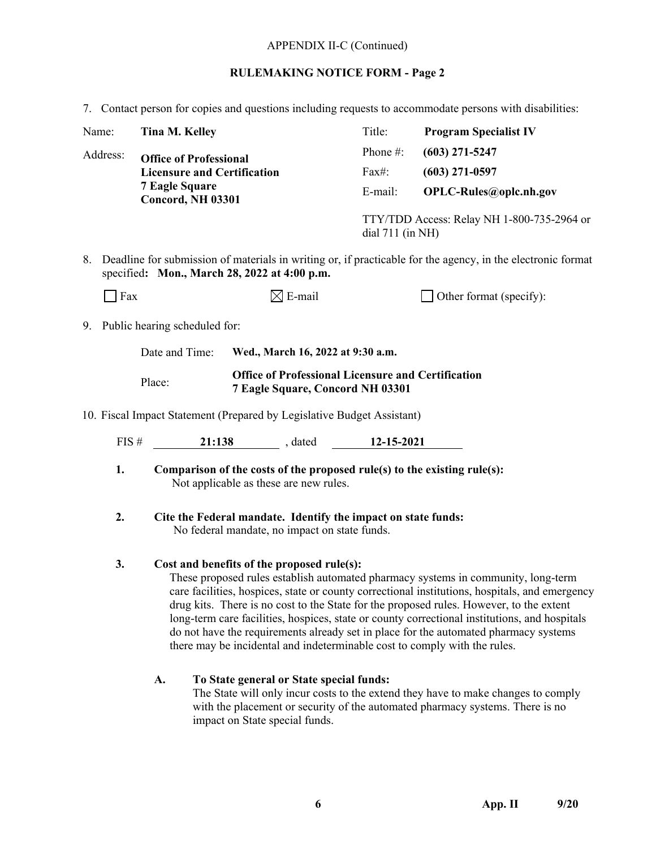#### APPENDIX II-C (Continued)

#### **RULEMAKING NOTICE FORM - Page 2**

7. Contact person for copies and questions including requests to accommodate persons with disabilities:

| Name:                                                                  |                                                                                                                                                             | Tina M. Kelley                                                                                          |                                                                | Title:                 | <b>Program Specialist IV</b> |  |  |
|------------------------------------------------------------------------|-------------------------------------------------------------------------------------------------------------------------------------------------------------|---------------------------------------------------------------------------------------------------------|----------------------------------------------------------------|------------------------|------------------------------|--|--|
| Address:                                                               |                                                                                                                                                             |                                                                                                         | <b>Office of Professional</b>                                  |                        | $(603)$ 271-5247             |  |  |
|                                                                        | <b>Licensure and Certification</b><br><b>7 Eagle Square</b><br><b>Concord, NH 03301</b>                                                                     |                                                                                                         | Fax#:                                                          | $(603)$ 271-0597       |                              |  |  |
|                                                                        |                                                                                                                                                             |                                                                                                         | E-mail:                                                        | OPLC-Rules@oplc.nh.gov |                              |  |  |
|                                                                        |                                                                                                                                                             |                                                                                                         | TTY/TDD Access: Relay NH 1-800-735-2964 or<br>dial 711 (in NH) |                        |                              |  |  |
| 8.                                                                     | Deadline for submission of materials in writing or, if practicable for the agency, in the electronic format<br>specified: Mon., March 28, 2022 at 4:00 p.m. |                                                                                                         |                                                                |                        |                              |  |  |
|                                                                        | Fax                                                                                                                                                         |                                                                                                         | $\boxtimes$ E-mail                                             |                        | Other format (specify):      |  |  |
| 9.                                                                     | Public hearing scheduled for:                                                                                                                               |                                                                                                         |                                                                |                        |                              |  |  |
|                                                                        |                                                                                                                                                             | Date and Time:<br>Wed., March 16, 2022 at 9:30 a.m.                                                     |                                                                |                        |                              |  |  |
|                                                                        |                                                                                                                                                             | <b>Office of Professional Licensure and Certification</b><br>Place:<br>7 Eagle Square, Concord NH 03301 |                                                                |                        |                              |  |  |
| 10. Fiscal Impact Statement (Prepared by Legislative Budget Assistant) |                                                                                                                                                             |                                                                                                         |                                                                |                        |                              |  |  |
|                                                                        | FIS#                                                                                                                                                        |                                                                                                         | 21:138 . dated 12-15-2021                                      |                        |                              |  |  |
|                                                                        | 1.<br>Comparison of the costs of the proposed rule(s) to the existing rule(s):<br>Not applicable as these are new rules.                                    |                                                                                                         |                                                                |                        |                              |  |  |
|                                                                        | 2.<br>Cite the Federal mandate. Identify the impact on state funds:<br>No federal mandate, no impact on state funds.                                        |                                                                                                         |                                                                |                        |                              |  |  |

### **3. Cost and benefits of the proposed rule(s):**

These proposed rules establish automated pharmacy systems in community, long-term care facilities, hospices, state or county correctional institutions, hospitals, and emergency drug kits. There is no cost to the State for the proposed rules. However, to the extent long-term care facilities, hospices, state or county correctional institutions, and hospitals do not have the requirements already set in place for the automated pharmacy systems there may be incidental and indeterminable cost to comply with the rules.

### **A. To State general or State special funds:**

The State will only incur costs to the extend they have to make changes to comply with the placement or security of the automated pharmacy systems. There is no impact on State special funds.